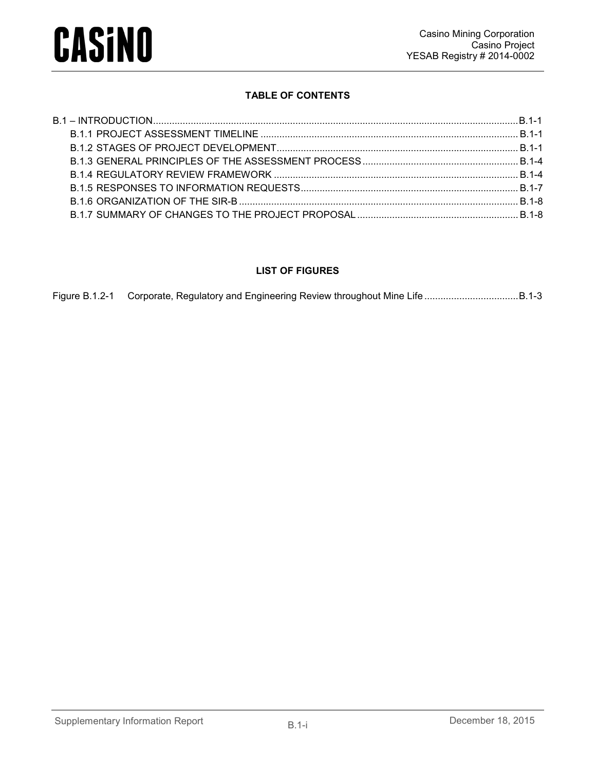

#### **TABLE OF CONTENTS**

#### **LIST OF FIGURES**

| Figure B.1.2-1 Corporate, Regulatory and Engineering Review throughout Mine Life B.1-3 |  |
|----------------------------------------------------------------------------------------|--|
|                                                                                        |  |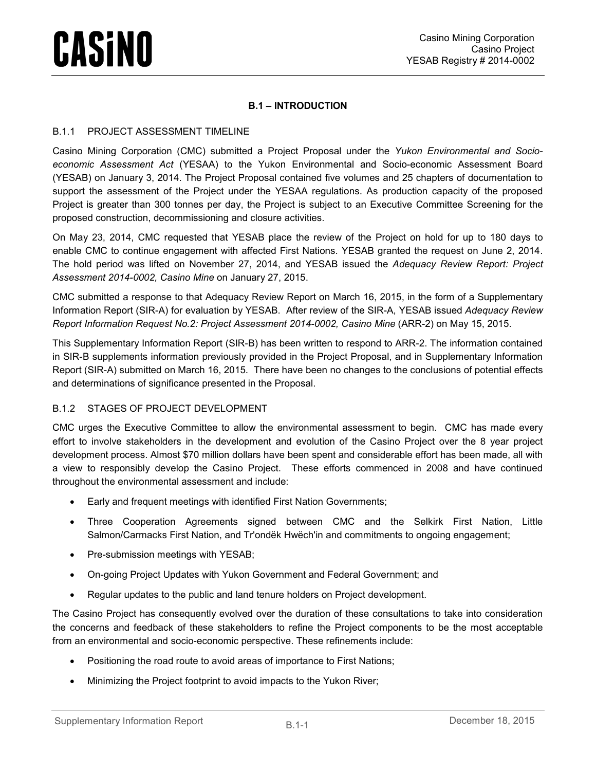#### **B.1 – INTRODUCTION**

#### <span id="page-1-1"></span><span id="page-1-0"></span>B.1.1 PROJECT ASSESSMENT TIMELINE

Casino Mining Corporation (CMC) submitted a Project Proposal under the *Yukon Environmental and Socioeconomic Assessment Act* (YESAA) to the Yukon Environmental and Socio-economic Assessment Board (YESAB) on January 3, 2014. The Project Proposal contained five volumes and 25 chapters of documentation to support the assessment of the Project under the YESAA regulations. As production capacity of the proposed Project is greater than 300 tonnes per day, the Project is subject to an Executive Committee Screening for the proposed construction, decommissioning and closure activities.

On May 23, 2014, CMC requested that YESAB place the review of the Project on hold for up to 180 days to enable CMC to continue engagement with affected First Nations. YESAB granted the request on June 2, 2014. The hold period was lifted on November 27, 2014, and YESAB issued the *Adequacy Review Report: Project Assessment 2014-0002, Casino Mine* on January 27, 2015.

CMC submitted a response to that Adequacy Review Report on March 16, 2015, in the form of a Supplementary Information Report (SIR-A) for evaluation by YESAB. After review of the SIR-A, YESAB issued *Adequacy Review Report Information Request No.2: Project Assessment 2014-0002, Casino Mine (ARR-2) on May 15, 2015.* 

This Supplementary Information Report (SIR-B) has been written to respond to ARR-2. The information contained in SIR-B supplements information previously provided in the Project Proposal, and in Supplementary Information Report (SIR-A) submitted on March 16, 2015. There have been no changes to the conclusions of potential effects and determinations of significance presented in the Proposal.

#### <span id="page-1-2"></span>B.1.2 STAGES OF PROJECT DEVELOPMENT

CMC urges the Executive Committee to allow the environmental assessment to begin. CMC has made every effort to involve stakeholders in the development and evolution of the Casino Project over the 8 year project development process. Almost \$70 million dollars have been spent and considerable effort has been made, all with a view to responsibly develop the Casino Project. These efforts commenced in 2008 and have continued throughout the environmental assessment and include:

- Early and frequent meetings with identified First Nation Governments;
- Three Cooperation Agreements signed between CMC and the [Selkirk First Nation,](http://www.casinomining.com/news/older_news/index74f7.html?&content_id=198) [Little](http://www.casinomining.com/news/older_news/indexddd0.html?&content_id=202)  [Salmon/Carmacks First Nation,](http://www.casinomining.com/news/older_news/indexddd0.html?&content_id=202) and [Tr'ondëk Hwëch'in](http://www.casinomining.com/news/2015/index2f3c.html?&content_id=240) and commitments to ongoing engagement;
- Pre-submission meetings with YESAB;
- On-going Project Updates with Yukon Government and Federal Government; and
- Regular updates to the public and land tenure holders on Project development.

The Casino Project has consequently evolved over the duration of these consultations to take into consideration the concerns and feedback of these stakeholders to refine the Project components to be the most acceptable from an environmental and socio-economic perspective. These refinements include:

- Positioning the road route to avoid areas of importance to First Nations;
- Minimizing the Project footprint to avoid impacts to the Yukon River;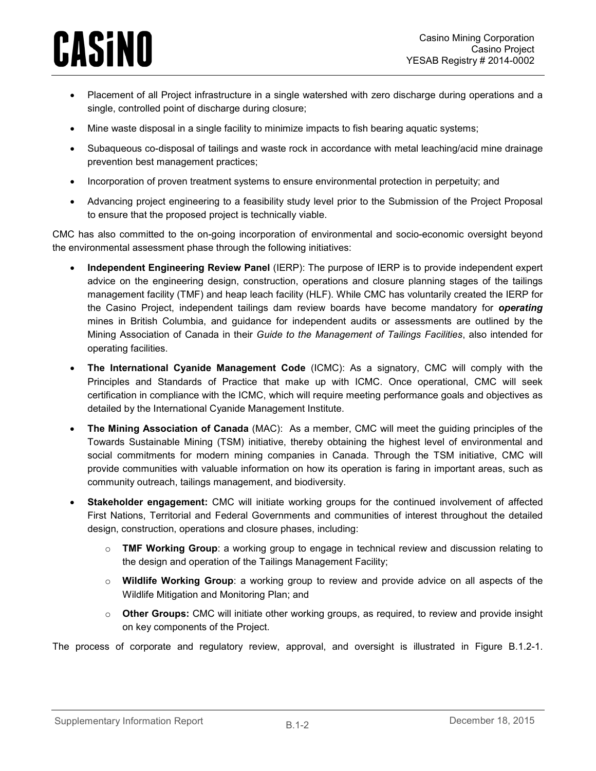- Placement of all Project infrastructure in a single watershed with zero discharge during operations and a single, controlled point of discharge during closure;
- Mine waste disposal in a single facility to minimize impacts to fish bearing aquatic systems;
- Subaqueous co-disposal of tailings and waste rock in accordance with metal leaching/acid mine drainage prevention best management practices;
- Incorporation of proven treatment systems to ensure environmental protection in perpetuity; and
- Advancing project engineering to a feasibility study level prior to the Submission of the Project Proposal to ensure that the proposed project is technically viable.

CMC has also committed to the on-going incorporation of environmental and socio-economic oversight beyond the environmental assessment phase through the following initiatives:

- **Independent Engineering Review Panel** (IERP): The purpose of IERP is to provide independent expert advice on the engineering design, construction, operations and closure planning stages of the tailings management facility (TMF) and heap leach facility (HLF). While CMC has voluntarily created the IERP for the Casino Project, independent tailings dam review boards have become mandatory for *operating* mines in British Columbia, and guidance for independent audits or assessments are outlined by the Mining Association of Canada in their *Guide to the Management of Tailings Facilities*, also intended for operating facilities.
- **The International Cyanide Management Code** (ICMC): As a signatory, CMC will comply with the Principles and Standards of Practice that make up with ICMC. Once operational, CMC will seek certification in compliance with the ICMC, which will require meeting performance goals and objectives as detailed by the International Cyanide Management Institute.
- **The Mining Association of Canada** (MAC): As a member, CMC will meet the guiding principles of the Towards Sustainable Mining (TSM) initiative, thereby obtaining the highest level of environmental and social commitments for modern mining companies in Canada. Through the TSM initiative, CMC will provide communities with valuable information on how its operation is faring in important areas, such as community outreach, tailings management, and biodiversity.
- **Stakeholder engagement:** CMC will initiate working groups for the continued involvement of affected First Nations, Territorial and Federal Governments and communities of interest throughout the detailed design, construction, operations and closure phases, including:
	- o **TMF Working Group**: a working group to engage in technical review and discussion relating to the design and operation of the Tailings Management Facility;
	- o **Wildlife Working Group**: a working group to review and provide advice on all aspects of the Wildlife Mitigation and Monitoring Plan; and
	- o **Other Groups:** CMC will initiate other working groups, as required, to review and provide insight on key components of the Project.

The process of corporate and regulatory review, approval, and oversight is illustrated in [Figure B.1.2-1.](#page-3-0)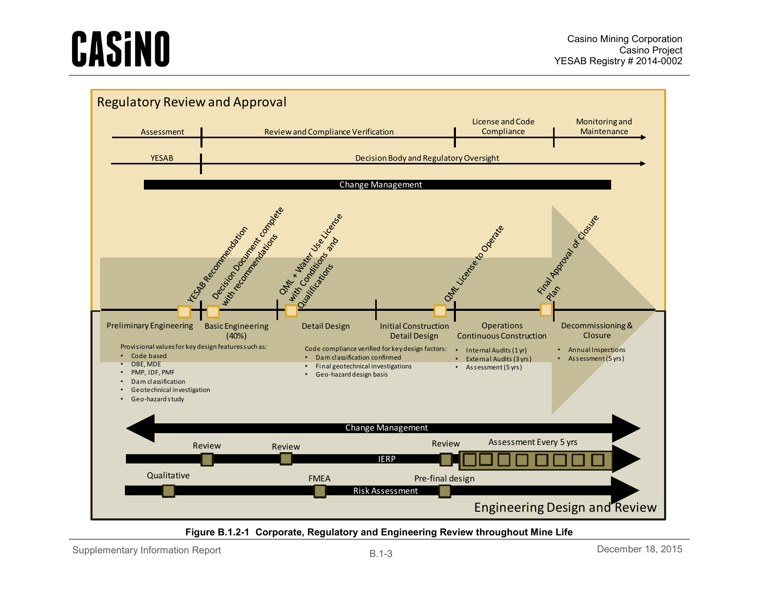

#### **Figure B.1.2-1 Corporate, Regulatory and Engineering Review throughout Mine Life**

<span id="page-3-0"></span>Supplementary Information Report and Equation  $B.1-3$  B.1-3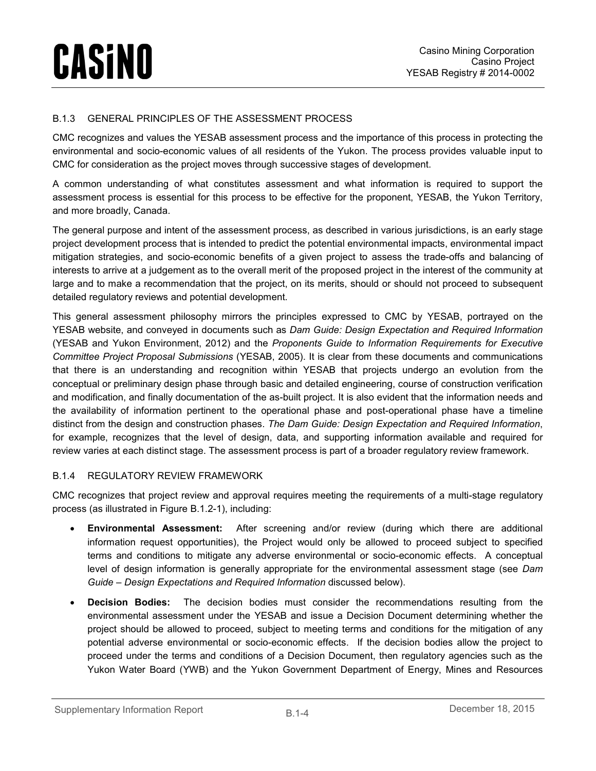#### <span id="page-4-0"></span>B.1.3 GENERAL PRINCIPLES OF THE ASSESSMENT PROCESS

CMC recognizes and values the YESAB assessment process and the importance of this process in protecting the environmental and socio-economic values of all residents of the Yukon. The process provides valuable input to CMC for consideration as the project moves through successive stages of development.

A common understanding of what constitutes assessment and what information is required to support the assessment process is essential for this process to be effective for the proponent, YESAB, the Yukon Territory, and more broadly, Canada.

The general purpose and intent of the assessment process, as described in various jurisdictions, is an early stage project development process that is intended to predict the potential environmental impacts, environmental impact mitigation strategies, and socio-economic benefits of a given project to assess the trade-offs and balancing of interests to arrive at a judgement as to the overall merit of the proposed project in the interest of the community at large and to make a recommendation that the project, on its merits, should or should not proceed to subsequent detailed regulatory reviews and potential development.

This general assessment philosophy mirrors the principles expressed to CMC by YESAB, portrayed on the YESAB website, and conveyed in documents such as *Dam Guide: Design Expectation and Required Information* (YESAB and Yukon Environment, 2012) and the *Proponents Guide to Information Requirements for Executive Committee Project Proposal Submissions* (YESAB, 2005). It is clear from these documents and communications that there is an understanding and recognition within YESAB that projects undergo an evolution from the conceptual or preliminary design phase through basic and detailed engineering, course of construction verification and modification, and finally documentation of the as-built project. It is also evident that the information needs and the availability of information pertinent to the operational phase and post-operational phase have a timeline distinct from the design and construction phases. *The Dam Guide: Design Expectation and Required Information*, for example, recognizes that the level of design, data, and supporting information available and required for review varies at each distinct stage. The assessment process is part of a broader regulatory review framework.

#### <span id="page-4-1"></span>B.1.4 REGULATORY REVIEW FRAMEWORK

CMC recognizes that project review and approval requires meeting the requirements of a multi-stage regulatory process (as illustrated in [Figure B.1.2-1\)](#page-3-0), including:

- **Environmental Assessment:** After screening and/or review (during which there are additional information request opportunities), the Project would only be allowed to proceed subject to specified terms and conditions to mitigate any adverse environmental or socio-economic effects. A conceptual level of design information is generally appropriate for the environmental assessment stage (see *Dam Guide – Design Expectations and Required Information* discussed below).
- **Decision Bodies:** The decision bodies must consider the recommendations resulting from the environmental assessment under the YESAB and issue a Decision Document determining whether the project should be allowed to proceed, subject to meeting terms and conditions for the mitigation of any potential adverse environmental or socio-economic effects. If the decision bodies allow the project to proceed under the terms and conditions of a Decision Document, then regulatory agencies such as the Yukon Water Board (YWB) and the Yukon Government Department of Energy, Mines and Resources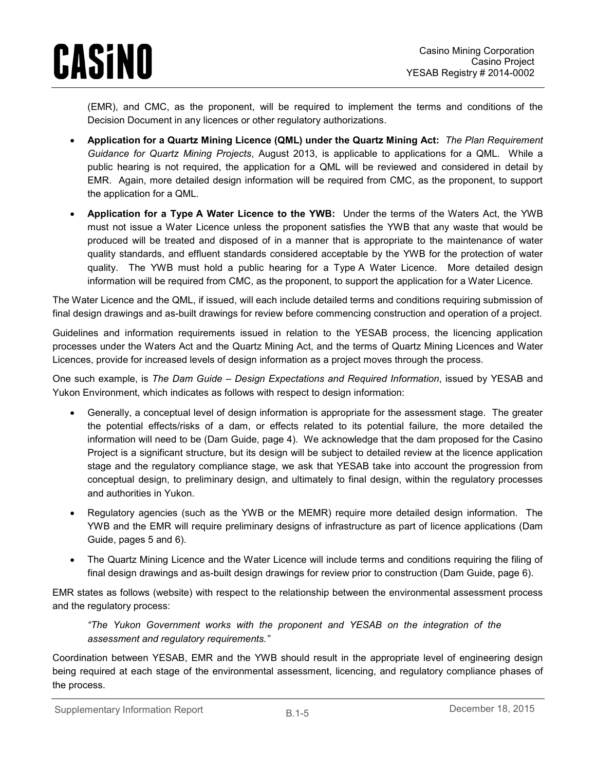(EMR), and CMC, as the proponent, will be required to implement the terms and conditions of the Decision Document in any licences or other regulatory authorizations.

- **Application for a Quartz Mining Licence (QML) under the Quartz Mining Act:** *The Plan Requirement Guidance for Quartz Mining Projects*, August 2013, is applicable to applications for a QML. While a public hearing is not required, the application for a QML will be reviewed and considered in detail by EMR. Again, more detailed design information will be required from CMC, as the proponent, to support the application for a QML.
- **Application for a Type A Water Licence to the YWB:** Under the terms of the Waters Act, the YWB must not issue a Water Licence unless the proponent satisfies the YWB that any waste that would be produced will be treated and disposed of in a manner that is appropriate to the maintenance of water quality standards, and effluent standards considered acceptable by the YWB for the protection of water quality. The YWB must hold a public hearing for a Type A Water Licence. More detailed design information will be required from CMC, as the proponent, to support the application for a Water Licence.

The Water Licence and the QML, if issued, will each include detailed terms and conditions requiring submission of final design drawings and as-built drawings for review before commencing construction and operation of a project.

Guidelines and information requirements issued in relation to the YESAB process, the licencing application processes under the Waters Act and the Quartz Mining Act, and the terms of Quartz Mining Licences and Water Licences, provide for increased levels of design information as a project moves through the process.

One such example, is *The Dam Guide – Design Expectations and Required Information*, issued by YESAB and Yukon Environment, which indicates as follows with respect to design information:

- Generally, a conceptual level of design information is appropriate for the assessment stage. The greater the potential effects/risks of a dam, or effects related to its potential failure, the more detailed the information will need to be (Dam Guide, page 4). We acknowledge that the dam proposed for the Casino Project is a significant structure, but its design will be subject to detailed review at the licence application stage and the regulatory compliance stage, we ask that YESAB take into account the progression from conceptual design, to preliminary design, and ultimately to final design, within the regulatory processes and authorities in Yukon.
- Regulatory agencies (such as the YWB or the MEMR) require more detailed design information. The YWB and the EMR will require preliminary designs of infrastructure as part of licence applications (Dam Guide, pages 5 and 6).
- The Quartz Mining Licence and the Water Licence will include terms and conditions requiring the filing of final design drawings and as-built design drawings for review prior to construction (Dam Guide, page 6).

EMR states as follows (website) with respect to the relationship between the environmental assessment process and the regulatory process:

*"The Yukon Government works with the proponent and YESAB on the integration of the assessment and regulatory requirements."*

Coordination between YESAB, EMR and the YWB should result in the appropriate level of engineering design being required at each stage of the environmental assessment, licencing, and regulatory compliance phases of the process.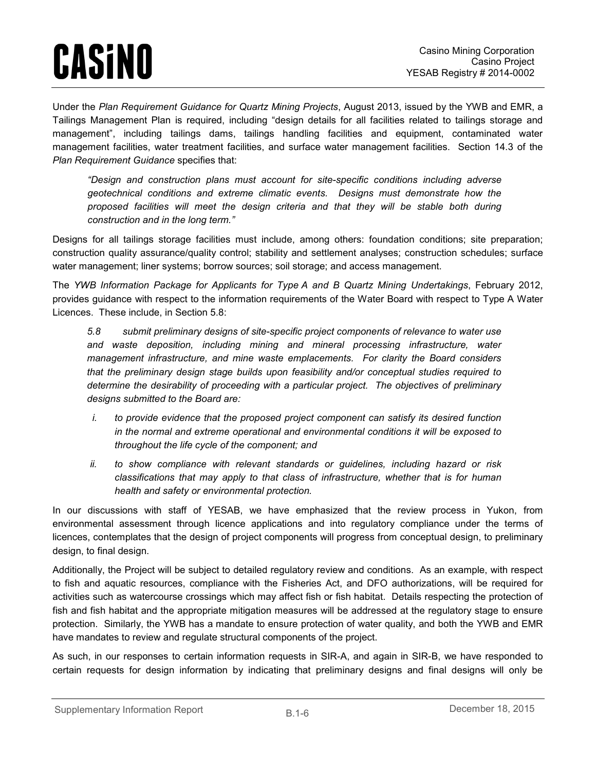Under the *Plan Requirement Guidance for Quartz Mining Projects*, August 2013, issued by the YWB and EMR, a Tailings Management Plan is required, including "design details for all facilities related to tailings storage and management", including tailings dams, tailings handling facilities and equipment, contaminated water management facilities, water treatment facilities, and surface water management facilities. Section 14.3 of the *Plan Requirement Guidance* specifies that:

*"Design and construction plans must account for site-specific conditions including adverse geotechnical conditions and extreme climatic events. Designs must demonstrate how the proposed facilities will meet the design criteria and that they will be stable both during construction and in the long term."* 

Designs for all tailings storage facilities must include, among others: foundation conditions; site preparation; construction quality assurance/quality control; stability and settlement analyses; construction schedules; surface water management; liner systems; borrow sources; soil storage; and access management.

The *YWB Information Package for Applicants for Type A and B Quartz Mining Undertakings*, February 2012, provides guidance with respect to the information requirements of the Water Board with respect to Type A Water Licences. These include, in Section 5.8:

*5.8 submit preliminary designs of site-specific project components of relevance to water use and waste deposition, including mining and mineral processing infrastructure, water management infrastructure, and mine waste emplacements. For clarity the Board considers that the preliminary design stage builds upon feasibility and/or conceptual studies required to determine the desirability of proceeding with a particular project. The objectives of preliminary designs submitted to the Board are:*

- *i. to provide evidence that the proposed project component can satisfy its desired function in the normal and extreme operational and environmental conditions it will be exposed to throughout the life cycle of the component; and*
- *ii. to show compliance with relevant standards or guidelines, including hazard or risk classifications that may apply to that class of infrastructure, whether that is for human health and safety or environmental protection.*

In our discussions with staff of YESAB, we have emphasized that the review process in Yukon, from environmental assessment through licence applications and into regulatory compliance under the terms of licences, contemplates that the design of project components will progress from conceptual design, to preliminary design, to final design.

Additionally, the Project will be subject to detailed regulatory review and conditions. As an example, with respect to fish and aquatic resources, compliance with the Fisheries Act, and DFO authorizations, will be required for activities such as watercourse crossings which may affect fish or fish habitat. Details respecting the protection of fish and fish habitat and the appropriate mitigation measures will be addressed at the regulatory stage to ensure protection. Similarly, the YWB has a mandate to ensure protection of water quality, and both the YWB and EMR have mandates to review and regulate structural components of the project.

As such, in our responses to certain information requests in SIR-A, and again in SIR-B, we have responded to certain requests for design information by indicating that preliminary designs and final designs will only be

Supplementary Information Report B.1-6 B.1-6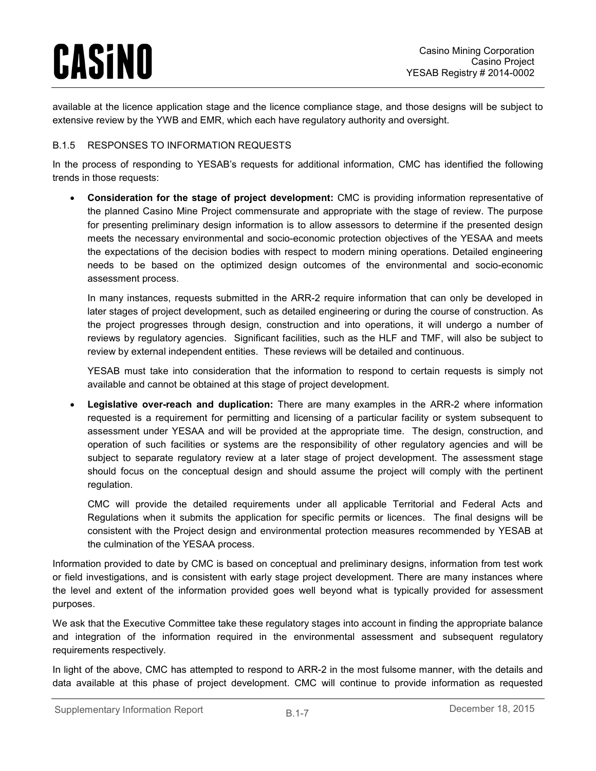available at the licence application stage and the licence compliance stage, and those designs will be subject to extensive review by the YWB and EMR, which each have regulatory authority and oversight.

#### <span id="page-7-0"></span>B.1.5 RESPONSES TO INFORMATION REQUESTS

In the process of responding to YESAB's requests for additional information, CMC has identified the following trends in those requests:

• **Consideration for the stage of project development:** CMC is providing information representative of the planned Casino Mine Project commensurate and appropriate with the stage of review. The purpose for presenting preliminary design information is to allow assessors to determine if the presented design meets the necessary environmental and socio-economic protection objectives of the YESAA and meets the expectations of the decision bodies with respect to modern mining operations. Detailed engineering needs to be based on the optimized design outcomes of the environmental and socio-economic assessment process.

In many instances, requests submitted in the ARR-2 require information that can only be developed in later stages of project development, such as detailed engineering or during the course of construction. As the project progresses through design, construction and into operations, it will undergo a number of reviews by regulatory agencies. Significant facilities, such as the HLF and TMF, will also be subject to review by external independent entities. These reviews will be detailed and continuous.

YESAB must take into consideration that the information to respond to certain requests is simply not available and cannot be obtained at this stage of project development.

• **Legislative over-reach and duplication:** There are many examples in the ARR-2 where information requested is a requirement for permitting and licensing of a particular facility or system subsequent to assessment under YESAA and will be provided at the appropriate time. The design, construction, and operation of such facilities or systems are the responsibility of other regulatory agencies and will be subject to separate regulatory review at a later stage of project development. The assessment stage should focus on the conceptual design and should assume the project will comply with the pertinent regulation.

CMC will provide the detailed requirements under all applicable Territorial and Federal Acts and Regulations when it submits the application for specific permits or licences. The final designs will be consistent with the Project design and environmental protection measures recommended by YESAB at the culmination of the YESAA process.

Information provided to date by CMC is based on conceptual and preliminary designs, information from test work or field investigations, and is consistent with early stage project development. There are many instances where the level and extent of the information provided goes well beyond what is typically provided for assessment purposes.

We ask that the Executive Committee take these regulatory stages into account in finding the appropriate balance and integration of the information required in the environmental assessment and subsequent regulatory requirements respectively.

In light of the above, CMC has attempted to respond to ARR-2 in the most fulsome manner, with the details and data available at this phase of project development. CMC will continue to provide information as requested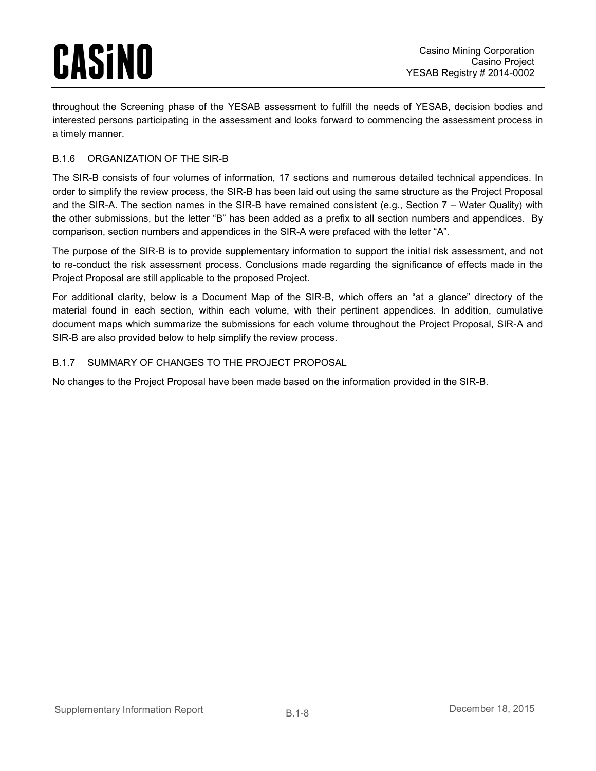throughout the Screening phase of the YESAB assessment to fulfill the needs of YESAB, decision bodies and interested persons participating in the assessment and looks forward to commencing the assessment process in a timely manner.

#### <span id="page-8-0"></span>B.1.6 ORGANIZATION OF THE SIR-B

The SIR-B consists of four volumes of information, 17 sections and numerous detailed technical appendices. In order to simplify the review process, the SIR-B has been laid out using the same structure as the Project Proposal and the SIR-A. The section names in the SIR-B have remained consistent (e.g., Section 7 – Water Quality) with the other submissions, but the letter "B" has been added as a prefix to all section numbers and appendices. By comparison, section numbers and appendices in the SIR-A were prefaced with the letter "A".

The purpose of the SIR-B is to provide supplementary information to support the initial risk assessment, and not to re-conduct the risk assessment process. Conclusions made regarding the significance of effects made in the Project Proposal are still applicable to the proposed Project.

For additional clarity, below is a Document Map of the SIR-B, which offers an "at a glance" directory of the material found in each section, within each volume, with their pertinent appendices. In addition, cumulative document maps which summarize the submissions for each volume throughout the Project Proposal, SIR-A and SIR-B are also provided below to help simplify the review process.

#### <span id="page-8-1"></span>B.1.7 SUMMARY OF CHANGES TO THE PROJECT PROPOSAL

No changes to the Project Proposal have been made based on the information provided in the SIR-B.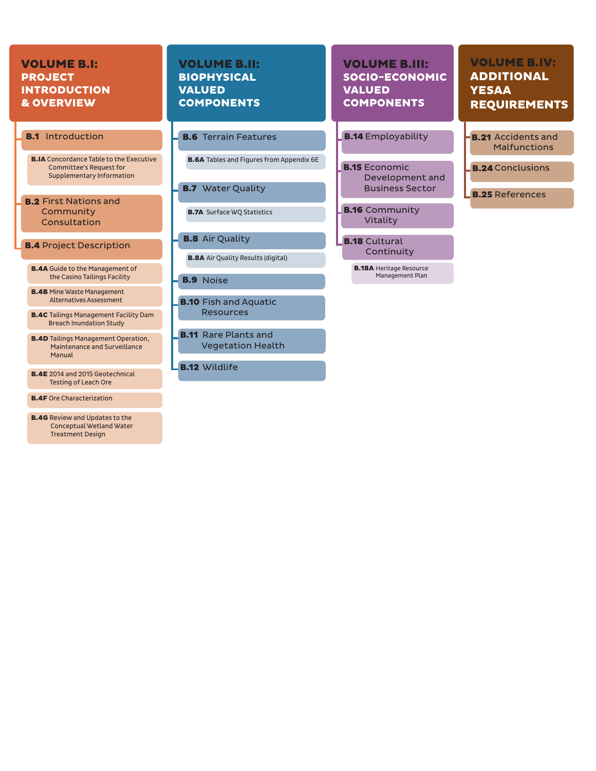#### VOLUME B.I: PROJECT INTRODUCTION & OVERVIEW VOLUME B.II: BIOPHYSICAL VALUED COMPONENTS VOLUME B.IV: ADDITIONAL **YESAA** REQUIREMENTS VOLUME B.III: SOCIO-ECONOMIC VALUED **COMPONENTS** Introduction **Example 19 E.6** Terrain Features **Example 19.14 Employability B.16** Community Vitality **B.15** Economic Development and Business Sector **B.18** Cultural Continuity **B.2** First Nations and Community Consultation **B.4** Project Description **B.IA** Concordance Table to the Executive Committee's Request for Supplementary Information B.4A Guide to the Management of the Casino Tailings Facility B.4B Mine Waste Management Alternatives Assessment **B.21** Accidents and Malfunctions **B.24** Conclusions **B.25** References **B.18A** Heritage Resource Management Plan **B.7** Water Quality **B.8** Air Quality **B.9** Noise **B.10** Fish and Aquatic **B.7A** Surface WQ Statistics **B.8A** Air Quality Results (digital) **B.6A** Tables and Figures from Appendix 6E **B.1** Introduction **B.14** Employability

Resources

**B.11** Rare Plants and Vegetation Health

**B.12 Wildlife** 

- B.4C Tailings Management Facility Dam Breach Inundation Study
- **B.4D** Tailings Management Operation, Maintenance and Surveillance Manual
- B.4E 2014 and 2015 Geotechnical Testing of Leach Ore
- B.4F Ore Characterization
- B.4G Review and Updates to the Conceptual Wetland Water Treatment Design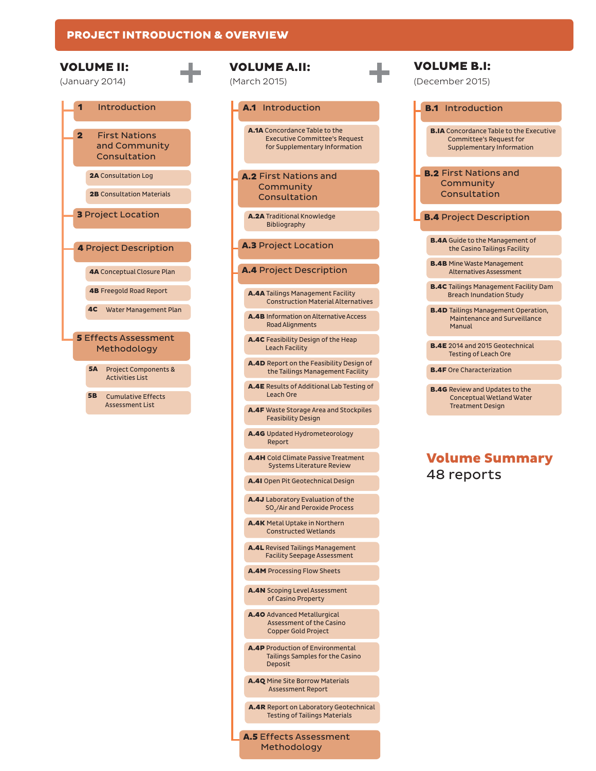#### PROJECT INTRODUCTION & OVERVIEW



Cumulative Effects Assessment List

#### A.1 Introduction

A.1A Concordance Table to the Executive Committee's Request for Supplementary Information

A.2 First Nations and **Community** Consultation

A.2A Traditional Knowledge Bibliography

#### **A.3 Project Location**

#### A.4 Project Description

A.4A Tailings Management Facility Construction Material Alternatives

A.4B Information on Alternative Access Road Alignments

A.4C Feasibility Design of the Heap Leach Facility

A.4D Report on the Feasibility Design of the Tailings Management Facility

A.4E Results of Additional Lab Testing of Leach Ore

A.4F Waste Storage Area and Stockpiles Feasibility Design

A.4G Updated Hydrometeorology Report

A.4H Cold Climate Passive Treatment Systems Literature Review

A.4I Open Pit Geotechnical Design

A.4J Laboratory Evaluation of the SO<sub>2</sub>/Air and Peroxide Process

A.4K Metal Uptake in Northern Constructed Wetlands

A.4L Revised Tailings Management Facility Seepage Assessment

A.4M Processing Flow Sheets

A.4N Scoping Level Assessment of Casino Property

A.4O Advanced Metallurgical Assessment of the Casino Copper Gold Project

A.4P Production of Environmental Tailings Samples for the Casino Deposit

A.4Q Mine Site Borrow Materials Assessment Report

A.4R Report on Laboratory Geotechnical Testing of Tailings Materials

A.5 Effects Assessment Methodology

| <b>VOLUME B.I:</b><br>(December 2015)                                                                                |
|----------------------------------------------------------------------------------------------------------------------|
| <b>B.1</b> Introduction                                                                                              |
| <b>B.IA</b> Concordance Table to the Executive<br><b>Committee's Request for</b><br><b>Supplementary Information</b> |
| <b>B.2</b> First Nations and<br>Community<br>Consultation                                                            |
|                                                                                                                      |
| <b>B.4</b> Project Description                                                                                       |
| <b>B.4A</b> Guide to the Management of<br>the Casino Tailings Facility                                               |
| <b>B.4B</b> Mine Waste Management<br><b>Alternatives Assessment</b>                                                  |
| <b>B.4C</b> Tailings Management Facility Dam<br><b>Breach Inundation Study</b>                                       |
| <b>B.4D</b> Tailings Management Operation,<br>Maintenance and Surveillance<br>Manual                                 |
| <b>B.4E</b> 2014 and 2015 Geotechnical<br><b>Testing of Leach Ore</b>                                                |

itive

**B.4F** Ore Characterization

**B.4G** Review and Updates to the Conceptual Wetland Water Treatment Design

#### Volume Summary 48 reports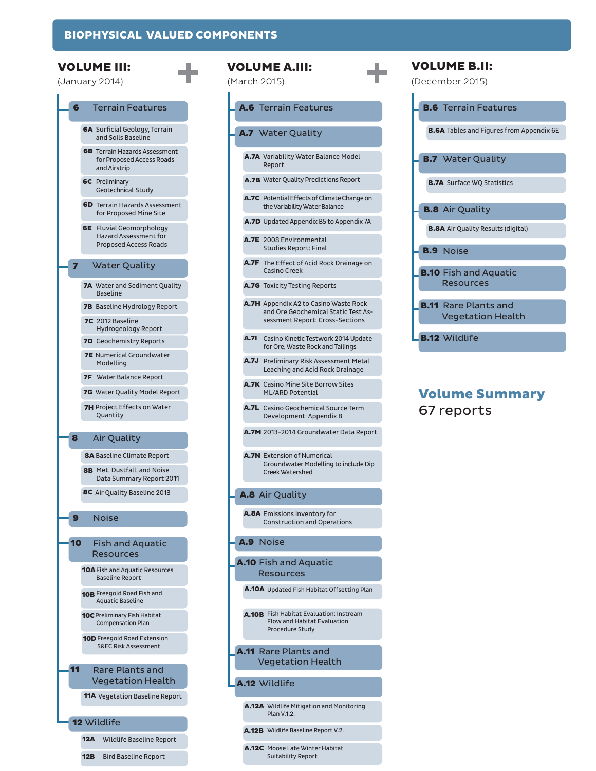A.6

A.7

A.8

A.9

A.10

A.11



|             | <b>ILUME A.III:</b><br>rch 2015)                                                                                       | VOLUME B.II:<br>(December 2015)                      |
|-------------|------------------------------------------------------------------------------------------------------------------------|------------------------------------------------------|
|             | <b>A.6</b> Terrain Features                                                                                            | <b>B.6</b> Terrain Feature                           |
|             | 1.7 Water Quality                                                                                                      | <b>B.6A</b> Tables and Figures fro                   |
|             | A.7A Variability Water Balance Model<br>Report                                                                         | <b>B.7</b> Water Quality                             |
|             | A.7B Water Quality Predictions Report                                                                                  | <b>B.7A</b> Surface WQ Statistics                    |
|             | A.7C Potential Effects of Climate Change on<br>the Variability Water Balance                                           | <b>B.8</b> Air Quality                               |
|             | <b>A.7D</b> Updated Appendix B5 to Appendix 7A                                                                         | <b>B.8A</b> Air Quality Results (di                  |
|             | A.7E 2008 Environmental<br><b>Studies Report: Final</b>                                                                | <b>B.9</b> Noise                                     |
|             | A.7F The Effect of Acid Rock Drainage on<br><b>Casino Creek</b>                                                        | <b>B.10</b> Fish and Aquati                          |
|             | A.7G Toxicity Testing Reports                                                                                          | Resources                                            |
|             | <b>A.7H</b> Appendix A2 to Casino Waste Rock<br>and Ore Geochemical Static Test As-<br>sessment Report: Cross-Sections | <b>B.11</b> Rare Plants and<br><b>Vegetation Hea</b> |
| <b>A.7I</b> | Casino Kinetic Testwork 2014 Update<br>for Ore, Waste Rock and Tailings                                                | <b>B.12 Wildlife</b>                                 |
|             | A.7J Preliminary Risk Assessment Metal<br>Leaching and Acid Rock Drainage                                              |                                                      |
|             | A.7K Casino Mine Site Borrow Sites<br><b>ML/ARD Potential</b>                                                          | <b>Volume Sumr</b>                                   |
|             | A.7L Casino Geochemical Source Term<br>Development: Appendix B                                                         | 67 reports                                           |
|             | A.7M 2013-2014 Groundwater Data Report                                                                                 |                                                      |
|             | <b>A.7N</b> Extension of Numerical<br>Groundwater Modelling to include Dip<br><b>Creek Watershed</b>                   |                                                      |
|             | <b>A.8 Air Quality</b>                                                                                                 |                                                      |
|             | A.8A Emissions Inventory for<br><b>Construction and Operations</b>                                                     |                                                      |
|             | <b>1.9</b> Noise                                                                                                       |                                                      |
|             | .10 Fish and Aquatic<br><b>Resources</b>                                                                               |                                                      |
|             | A.10A Updated Fish Habitat Offsetting Plan                                                                             |                                                      |
|             | A.10B Fish Habitat Evaluation: Instream<br><b>Flow and Habitat Evaluation</b><br>Procedure Study                       |                                                      |
|             | <b>.11</b> Rare Plants and<br><b>Vegetation Health</b>                                                                 |                                                      |

#### A.12 Wildlife

A.12A Wildlife Mitigation and Monitoring Plan V.1.2.

A.12B Wildlife Baseline Report V.2.

A.12C Moose Late Winter Habitat Suitability Report

### d ealth

res

from Appendix 6E

itic

(digital)

### nmary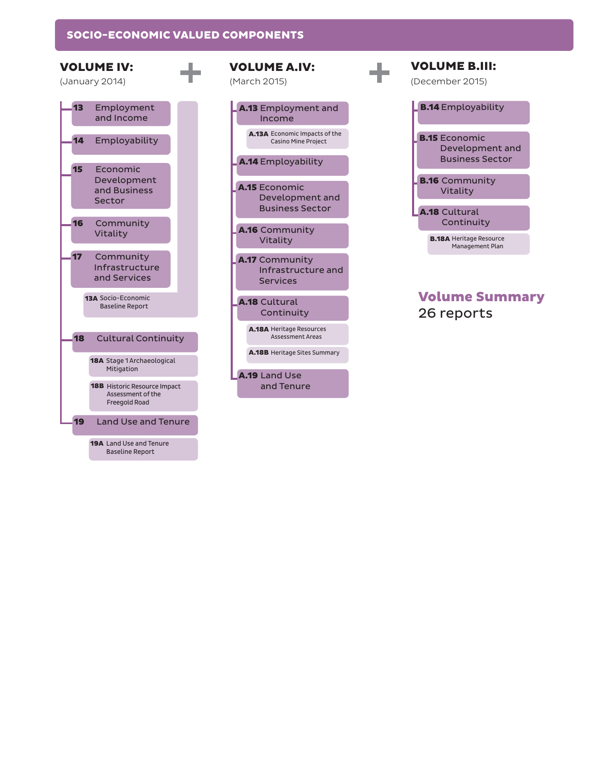#### SOCIO-ECONOMIC VALUED COMPONENTS



| A.13 Employment and<br>Income                                     |
|-------------------------------------------------------------------|
| A.13A Economic Impacts of the<br><b>Casino Mine Project</b>       |
| A.14 Employability                                                |
| <b>A.15</b> Economic<br>Development and<br><b>Business Sector</b> |
| A.16 Community<br>Vitality                                        |
| <b>A.17</b> Community<br>Infrastructure and<br><b>Services</b>    |
| A.18 Cultural<br>Continuity                                       |
| <b>A.18A Heritage Resources</b><br><b>Assessment Areas</b>        |
| A.18B Heritage Sites Summary                                      |
| <b>A.19 Land Use</b><br>and Tenure                                |

| VOLUME B.III:<br>(December 2015)                                  |
|-------------------------------------------------------------------|
| <b>B.14</b> Employability                                         |
| <b>B.15</b> Economic<br>Development and<br><b>Business Sector</b> |
| <b>B.16</b> Community<br>Vitality                                 |
| <b>A.18 Cultural</b><br>Continuity                                |
| <b>B.18A</b> Heritage Resource<br>Management Plan                 |
|                                                                   |

### Volume Summary 26 reports